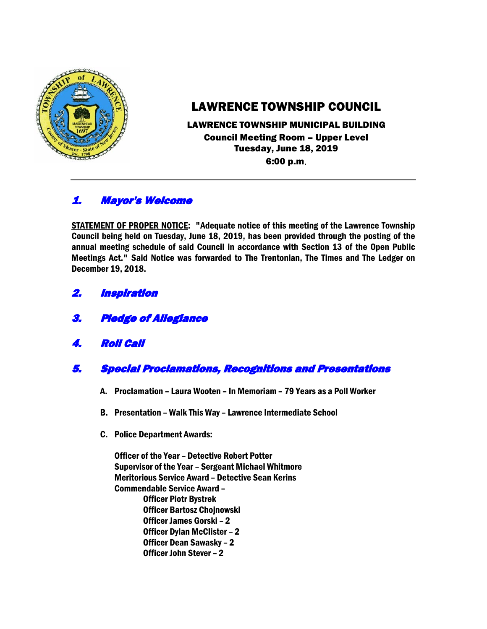

# LAWRENCE TOWNSHIP COUNCIL

### LAWRENCE TOWNSHIP MUNICIPAL BUILDING Council Meeting Room – Upper Level Tuesday, June 18, 2019 6:00 p.m.

## 1. Mayor's Welcome

STATEMENT OF PROPER NOTICE: "Adequate notice of this meeting of the Lawrence Township Council being held on Tuesday, June 18, 2019, has been provided through the posting of the annual meeting schedule of said Council in accordance with Section 13 of the Open Public Meetings Act." Said Notice was forwarded to The Trentonian, The Times and The Ledger on December 19, 2018.

- 2. Inspiration
- 3. Pledge of Allegiance
- 4. Roll Call
- 5. Special Proclamations, Recognitions and Presentations
	- A. Proclamation Laura Wooten In Memoriam 79 Years as a Poll Worker
	- B. Presentation Walk This Way Lawrence Intermediate School
	- C. Police Department Awards:

Officer of the Year – Detective Robert Potter Supervisor of the Year – Sergeant Michael Whitmore Meritorious Service Award – Detective Sean Kerins Commendable Service Award – Officer Piotr Bystrek Officer Bartosz Chojnowski Officer James Gorski – 2 Officer Dylan McClister – 2 Officer Dean Sawasky – 2 Officer John Stever – 2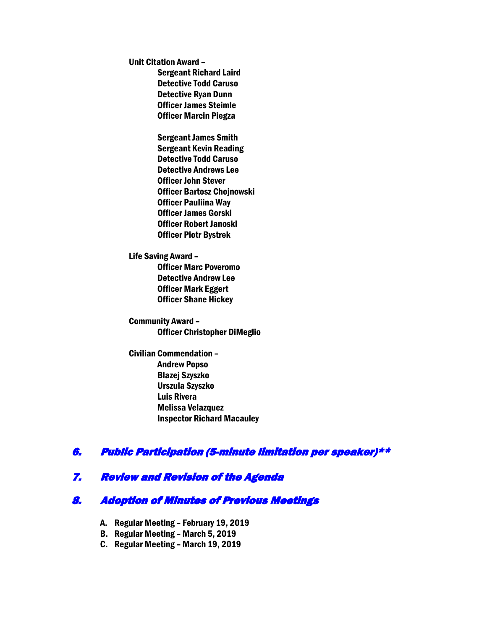Unit Citation Award –

Sergeant Richard Laird Detective Todd Caruso Detective Ryan Dunn Officer James Steimle Officer Marcin Piegza

Sergeant James Smith Sergeant Kevin Reading Detective Todd Caruso Detective Andrews Lee Officer John Stever Officer Bartosz Chojnowski Officer Pauliina Way Officer James Gorski Officer Robert Janoski Officer Piotr Bystrek

Life Saving Award – Officer Marc Poveromo Detective Andrew Lee Officer Mark Eggert Officer Shane Hickey

Community Award – Officer Christopher DiMeglio

Civilian Commendation – Andrew Popso Blazej Szyszko Urszula Szyszko Luis Rivera Melissa Velazquez Inspector Richard Macauley

## 6. Public Participation (5-minute limitation per speaker)\*\*

## 7. Review and Revision of the Agenda

## 8. Adoption of Minutes of Previous Meetings

- A. Regular Meeting February 19, 2019
- B. Regular Meeting March 5, 2019
- C. Regular Meeting March 19, 2019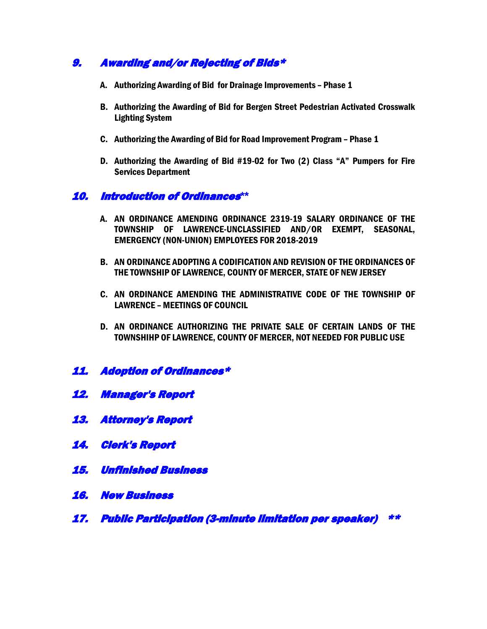## 9. Awarding and/or Rejecting of Bids\*

- A. Authorizing Awarding of Bid for Drainage Improvements Phase 1
- B. Authorizing the Awarding of Bid for Bergen Street Pedestrian Activated Crosswalk Lighting System
- C. Authorizing the Awarding of Bid for Road Improvement Program Phase 1
- D. Authorizing the Awarding of Bid #19-02 for Two (2) Class "A" Pumpers for Fire Services Department

### 10. Introduction of Ordinances**\*\***

- A. AN ORDINANCE AMENDING ORDINANCE 2319-19 SALARY ORDINANCE OF THE TOWNSHIP OF LAWRENCE-UNCLASSIFIED AND/OR EXEMPT, SEASONAL, EMERGENCY (NON-UNION) EMPLOYEES FOR 2018-2019
- B. AN ORDINANCE ADOPTING A CODIFICATION AND REVISION OF THE ORDINANCES OF THE TOWNSHIP OF LAWRENCE, COUNTY OF MERCER, STATE OF NEW JERSEY
- C. AN ORDINANCE AMENDING THE ADMINISTRATIVE CODE OF THE TOWNSHIP OF LAWRENCE – MEETINGS OF COUNCIL
- D. AN ORDINANCE AUTHORIZING THE PRIVATE SALE OF CERTAIN LANDS OF THE TOWNSHIHP OF LAWRENCE, COUNTY OF MERCER, NOT NEEDED FOR PUBLIC USE
- 11. Adoption of Ordinances\*
- 12. Manager's Report
- 13. Attorney's Report
- 14. Clerk's Report
- 15. Unfinished Business
- 16. New Business
- 17. Public Participation (3-minute limitation per speaker) \*\*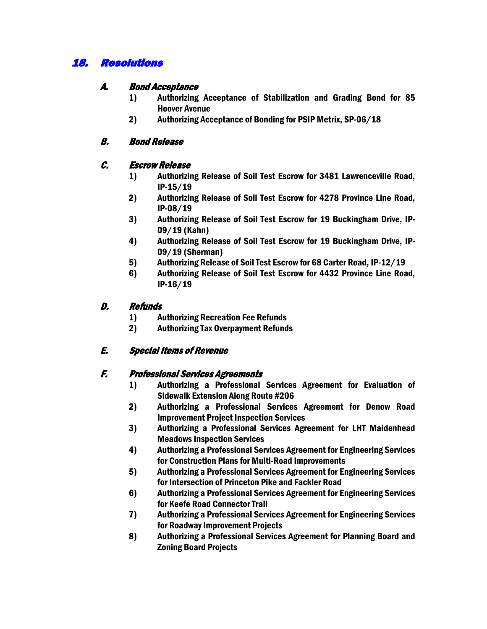## 18. Resolutions

#### A. Bond Acceptance

- 1) Authorizing Acceptance of Stabilization and Grading Bond for 85 Hoover Avenue
- 2) Authorizing Acceptance of Bonding for PSIP Metrix, SP-06/18

### B. Bond Release

#### C. Escrow Release

- 1) Authorizing Release of Soil Test Escrow for 3481 Lawrenceville Road, IP-15/19
- 2) Authorizing Release of Soil Test Escrow for 4278 Province Line Road, IP-08/19
- 3) Authorizing Release of Soil Test Escrow for 19 Buckingham Drive, IP-09/19 (Kahn)
- 4) Authorizing Release of Soil Test Escrow for 19 Buckingham Drive, IP-09/19 (Sherman)
- 5) Authorizing Release of Soil Test Escrow for 68 Carter Road, IP-12/19
- 6) Authorizing Release of Soil Test Escrow for 4432 Province Line Road, IP-16/19

#### D. Refunds

- 1) Authorizing Recreation Fee Refunds
- 2) Authorizing Tax Overpayment Refunds

### E. Special Items of Revenue

### F. Professional Services Agreements

- 1) Authorizing a Professional Services Agreement for Evaluation of Sidewalk Extension Along Route #206
- 2) Authorizing a Professional Services Agreement for Denow Road Improvement Project Inspection Services
- 3) Authorizing a Professional Services Agreement for LHT Maidenhead Meadows Inspection Services
- 4) Authorizing a Professional Services Agreement for Engineering Services for Construction Plans for Multi-Road Improvements
- 5) Authorizing a Professional Services Agreement for Engineering Services for Intersection of Princeton Pike and Fackler Road
- 6) Authorizing a Professional Services Agreement for Engineering Services for Keefe Road Connector Trail
- 7) Authorizing a Professional Services Agreement for Engineering Services for Roadway Improvement Projects
- 8) Authorizing a Professional Services Agreement for Planning Board and Zoning Board Projects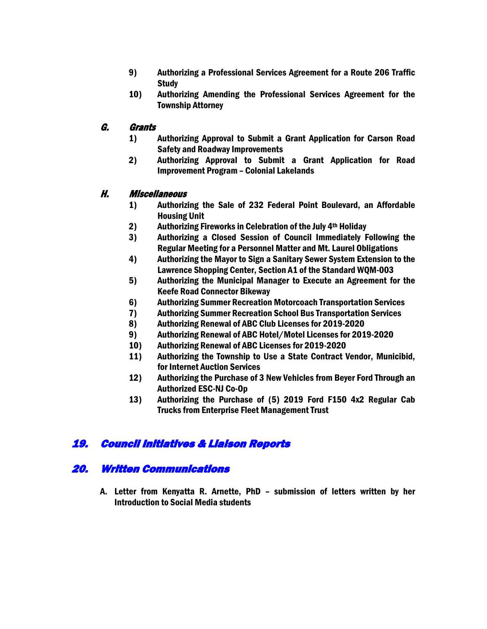- 9) Authorizing a Professional Services Agreement for a Route 206 Traffic **Study**
- 10) Authorizing Amending the Professional Services Agreement for the Township Attorney

### G. Grants

- 1) Authorizing Approval to Submit a Grant Application for Carson Road Safety and Roadway Improvements
- 2) Authorizing Approval to Submit a Grant Application for Road Improvement Program – Colonial Lakelands

#### H. Miscellaneous

- 1) Authorizing the Sale of 232 Federal Point Boulevard, an Affordable Housing Unit
- 2) Authorizing Fireworks in Celebration of the July 4th Holiday
- 3) Authorizing a Closed Session of Council Immediately Following the Regular Meeting for a Personnel Matter and Mt. Laurel Obligations
- 4) Authorizing the Mayor to Sign a Sanitary Sewer System Extension to the Lawrence Shopping Center, Section A1 of the Standard WQM-003
- 5) Authorizing the Municipal Manager to Execute an Agreement for the Keefe Road Connector Bikeway
- 6) Authorizing Summer Recreation Motorcoach Transportation Services
- 7) Authorizing Summer Recreation School Bus Transportation Services
- 8) Authorizing Renewal of ABC Club Licenses for 2019-2020
- 9) Authorizing Renewal of ABC Hotel/Motel Licenses for 2019-2020
- 10) Authorizing Renewal of ABC Licenses for 2019-2020
- 11) Authorizing the Township to Use a State Contract Vendor, Municibid, for Internet Auction Services
- 12) Authorizing the Purchase of 3 New Vehicles from Beyer Ford Through an Authorized ESC-NJ Co-Op
- 13) Authorizing the Purchase of (5) 2019 Ford F150 4x2 Regular Cab Trucks from Enterprise Fleet Management Trust

## 19. Council Initiatives & Liaison Reports

### 20. Written Communications

A. Letter from Kenyatta R. Arnette, PhD – submission of letters written by her Introduction to Social Media students